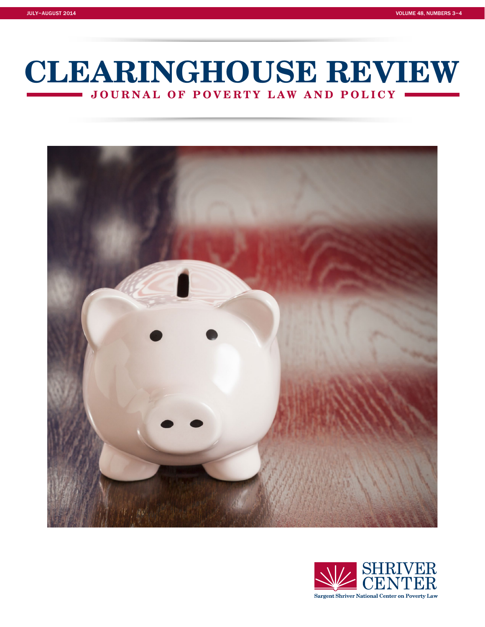# **JOURNAL OF POVERTY LAW AND POLICY CLEARINGHOUSE REVIEW**



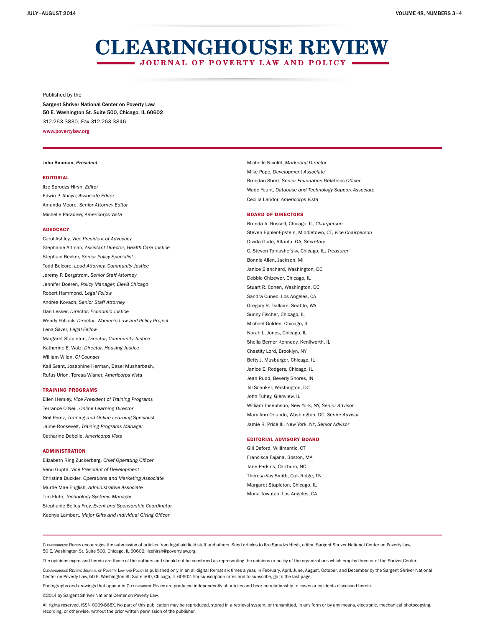# **JOURNAL OF POVERTY LAW AND POLICY CLEARINGHOUSE REVIEW**

#### Published by the

Sargent Shriver National Center on Poverty Law 50 E. Washington St. Suite 500, Chicago, IL 60602 312.263.3830, Fax 312.263.3846

www.povertylaw.org

#### John Bouman, President

#### EDITORIAL

Ilze Sprudzs Hirsh, Editor Edwin P. Abaya, Associate Editor Amanda Moore, Senior Attorney Editor Michelle Paradise, Americorps Vista

#### ADVOCACY

Carol Ashley, Vice President of Advocacy Stephanie Altman, Assistant Director, Health Care Justice Stephani Becker, Senior Policy Specialist Todd Belcore, Lead Attorney, Community Justice Jeremy P. Bergstrom, Senior Staff Attorney Jennifer Doeren, Policy Manager, Elev8 Chicago Robert Hammond, Legal Fellow Andrea Kovach, Senior Staff Attorney Dan Lesser, Director, Economic Justice Wendy Pollack, Director, Women's Law and Policy Project Lena Silver, Legal Fellow Margaret Stapleton, Director, Community Justice Katherine E. Walz, Director, Housing Justice William Wilen, Of Counsel Kali Grant, Josephine Herman, Basel Musharbash, Rufus Urion, Teresa Wisner, Americorps Vista

#### TRAINING PROGRAMS

Ellen Hemley, Vice President of Training Programs Terrance O'Neil, Online Learning Director Neil Perez, Training and Online Learning Specialist Jaime Roosevelt, Training Programs Manager Catharine Debelle, Americorps Vista

#### ADMINISTRATION

Elizabeth Ring Zuckerberg, Chief Operating Officer Venu Gupta, Vice President of Development Christina Buckler, Operations and Marketing Associate Murtle Mae English, Administrative Associate Tim Fluhr, Technology Systems Manager Stephanie Bellus Frey, Event and Sponsorship Coordinator Keenya Lambert, Major Gifts and Individual Giving Officer

Michelle Nicolet, Marketing Director Mike Pope, Development Associate Brendan Short, Senior Foundation Relations Officer Wade Yount, Database and Technology Support Associate Cecilia Landor, Americorps Vista

#### BOARD OF DIRECTORS

Brenda A. Russell, Chicago, IL, Chairperson Steven Eppler-Epstein, Middletown, CT, Vice Chairperson Divida Gude, Atlanta, GA, Secretary C. Steven Tomashefsky, Chicago, IL, Treasurer Bonnie Allen, Jackson, MI Janice Blanchard, Washington, DC Debbie Chizewer, Chicago, IL Stuart R. Cohen, Washington, DC Sandra Cuneo, Los Angeles, CA Gregory R. Dallaire, Seattle, WA Sunny Fischer, Chicago, IL Michael Golden, Chicago, IL Norah L. Jones, Chicago, IL Sheila Berner Kennedy, Kenilworth, IL Chastity Lord, Brooklyn, NY Betty J. Musburger, Chicago, IL Janice E. Rodgers, Chicago, IL Jean Rudd, Beverly Shores, IN Jill Schuker, Washington, DC John Tuhey, Glenview, IL William Josephson, New York, NY, Senior Advisor Mary Ann Orlando, Washington, DC, Senior Advisor Jamie R. Price III, New York, NY, Senior Advisor

#### EDITORIAL ADVISORY BOARD

Gill Deford, Willimantic, CT Francisca Fajana, Boston, MA Jane Perkins, Carrboro, NC Theresa-Vay Smith, Oak Ridge, TN Margaret Stapleton, Chicago, IL Mona Tawatao, Los Angeles, CA

Clearinghouse Review encourages the submission of articles from legal aid field staff and others. Send articles to Ilze Sprudzs Hirsh, editor, Sargent Shriver National Center on Poverty Law, 50 E. Washington St. Suite 500, Chicago, IL 60602; ilzehirsh@povertylaw.org.

The opinions expressed herein are those of the authors and should not be construed as representing the opinions or policy of the organizations which employ them or of the Shriver Center.

Clearinghouse Review: Journal of Poverty Law and Policy is published only in an all-digital format six times a year, in February, April, June, August, October, and December by the Sargent Shriver National Center on Poverty Law, 50 E. Washington St. Suite 500, Chicago, IL 60602. For subscription rates and to subscribe, go to the last page.

Photographs and drawings that appear in CLEARINGHOUSE REVIEW are produced independently of articles and bear no relationship to cases or incidents discussed herein.

©2014 by Sargent Shriver National Center on Poverty Law.

All rights reserved. ISSN 0009-868X. No part of this publication may be reproduced, stored in a retrieval system, or transmitted, in any form or by any means, electronic, mechanical photocopying, recording, or otherwise, without the prior written permission of the publisher.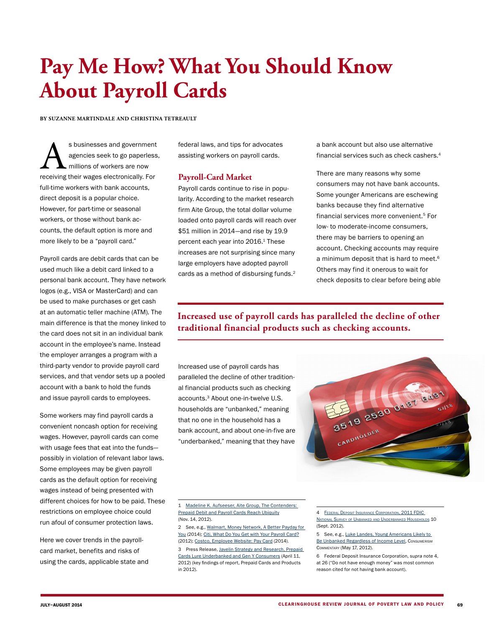# **Pay Me How? What You Should Know About Payroll Cards**

**BY SUZANNE MARTINDALE AND CHRISTINA TETREAULT**

s businesses and government<br>agencies seek to go paperless<br>millions of workers are now<br>receiving their wages electronically. For agencies seek to go paperless, millions of workers are now receiving their wages electronically. For full-time workers with bank accounts, direct deposit is a popular choice. However, for part-time or seasonal workers, or those without bank accounts, the default option is more and more likely to be a "payroll card."

Payroll cards are debit cards that can be used much like a debit card linked to a personal bank account. They have network logos (e.g., VISA or MasterCard) and can be used to make purchases or get cash at an automatic teller machine (ATM). The main difference is that the money linked to the card does not sit in an individual bank account in the employee's name. Instead the employer arranges a program with a third-party vendor to provide payroll card services, and that vendor sets up a pooled account with a bank to hold the funds and issue payroll cards to employees.

Some workers may find payroll cards a convenient noncash option for receiving wages. However, payroll cards can come with usage fees that eat into the funds possibly in violation of relevant labor laws. Some employees may be given payroll cards as the default option for receiving wages instead of being presented with different choices for how to be paid. These restrictions on employee choice could run afoul of consumer protection laws.

Here we cover trends in the payrollcard market, benefits and risks of using the cards, applicable state and federal laws, and tips for advocates assisting workers on payroll cards.

### **Payroll-Card Market**

Payroll cards continue to rise in popularity. According to the market research firm Aite Group, the total dollar volume loaded onto payroll cards will reach over \$51 million in 2014—and rise by 19.9 percent each year into 2016.<sup>1</sup> These increases are not surprising since many large employers have adopted payroll cards as a method of disbursing funds.<sup>2</sup>

a bank account but also use alternative financial services such as check cashers.4

There are many reasons why some consumers may not have bank accounts. Some younger Americans are eschewing banks because they find alternative financial services more convenient.5 For low- to moderate-income consumers, there may be barriers to opening an account. Checking accounts may require a minimum deposit that is hard to meet.<sup>6</sup> Others may find it onerous to wait for check deposits to clear before being able

## **Increased use of payroll cards has paralleled the decline of other traditional financial products such as checking accounts.**

Increased use of payroll cards has paralleled the decline of other traditional financial products such as checking accounts.3 About one-in-twelve U.S. households are "unbanked," meaning that no one in the household has a bank account, and about one-in-five are "underbanked," meaning that they have



<sup>1</sup> [Madeline K. Aufseeser, Aite Group, The Contenders:](http://www.aitegroup.com/report/contenders-prepaid-debit-and-payroll-cards-reach-ubiquity)  [Prepaid Debit and Payroll Cards Reach Ubiquity](http://www.aitegroup.com/report/contenders-prepaid-debit-and-payroll-cards-reach-ubiquity) (Nov. 14, 2012).

<sup>2</sup> See, e.g., [Walmart, Money Network, A Better Payday for](http://www.moneynetwork.com/walmart/)  [You](http://www.moneynetwork.com/walmart/) (2014); [Citi, What Do You Get with Your Payroll Card?](https://corporate.homedepot.com/Associates/Pay/Documents/CitiPayrollCard.pdf) (2012); [Costco, Employee Website: Pay Card](http://www.costco.com/employee-website.html) (2014).

<sup>3</sup> Press Release, [Javelin Strategy and Research, Prepaid](https://www.javelinstrategy.com/news/1326/92/1)  [Cards Lure Underbanked and Gen Y Consumers](https://www.javelinstrategy.com/news/1326/92/1) (April 11, 2012) (key findings of report, Prepaid Cards and Products in 2012).

<sup>4</sup> Federal Deposit [Insurance Corporation, 2011 FDIC](https://www.fdic.gov/householdsurvey/2012_unbankedreport.pdf)  National Survey of Unbanked and [Underbanked](https://www.fdic.gov/householdsurvey/2012_unbankedreport.pdf) Households 10 (Sept. 2012).

<sup>5</sup> See, e.g., [Luke Landes, Young Americans Likely to](http://www.consumerismcommentary.com/young-americans-likely-to-be-unbanked-regardless-of-income-level/?WT.qs_osrc=FBS-118706010)  [Be Unbanked Regardless of Income Level,](http://www.consumerismcommentary.com/young-americans-likely-to-be-unbanked-regardless-of-income-level/?WT.qs_osrc=FBS-118706010) Consumerism Commentary (May 17, 2012).

<sup>6</sup> Federal Deposit Insurance Corporation, supra note 4, at 26 ("Do not have enough money" was most common reason cited for not having bank account).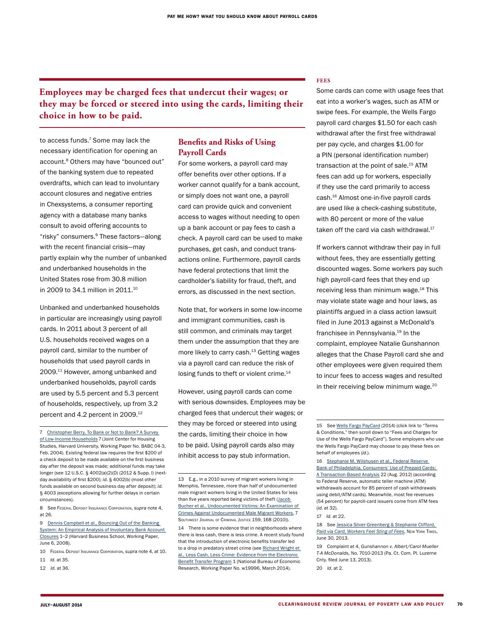## **Employees may be charged fees that undercut their wages; or they may be forced or steered into using the cards, limiting their choice in how to be paid.**

to access funds.7 Some may lack the necessary identification for opening an account.<sup>8</sup> Others may have "bounced out" of the banking system due to repeated overdrafts, which can lead to involuntary account closures and negative entries in Chexsystems, a consumer reporting agency with a database many banks consult to avoid offering accounts to "risky" consumers.9 These factors—along with the recent financial crisis—may partly explain why the number of unbanked and underbanked households in the United States rose from 30.8 million in 2009 to 34.1 million in 2011.<sup>10</sup>

Unbanked and underbanked households in particular are increasingly using payroll cards. In 2011 about 3 percent of all U.S. households received wages on a payroll card, similar to the number of households that used payroll cards in 2009.11 However, among unbanked and underbanked households, payroll cards are used by 5.5 percent and 5.3 percent of households, respectively, up from 3.2 percent and 4.2 percent in 2009.<sup>12</sup>

8 See FEDERAL DEPOSIT INSURANCE CORPORATION, Supra note 4, at 26.

#### **Benefits and Risks of Using Payroll Cards**

For some workers, a payroll card may offer benefits over other options. If a worker cannot qualify for a bank account, or simply does not want one, a payroll card can provide quick and convenient access to wages without needing to open up a bank account or pay fees to cash a check. A payroll card can be used to make purchases, get cash, and conduct transactions online. Furthermore, payroll cards have federal protections that limit the cardholder's liability for fraud, theft, and errors, as discussed in the next section.

Note that, for workers in some low-income and immigrant communities, cash is still common, and criminals may target them under the assumption that they are more likely to carry cash.<sup>13</sup> Getting wages via a payroll card can reduce the risk of losing funds to theft or violent crime.<sup>14</sup>

However, using payroll cards can come with serious downsides. Employees may be charged fees that undercut their wages; or they may be forced or steered into using the cards, limiting their choice in how to be paid. Using payroll cards also may inhibit access to pay stub information.

14 There is some evidence that in neighborhoods where there is less cash, there is less crime. A recent study found that the introduction of electronic benefits transfer led to a drop in predatory street crime (see [Richard Wright et](http://papers.ssrn.com/sol3/papers.cfm?abstract_id=2413344)  [al., Less Cash, Less Crime: Evidence from the Electronic](http://papers.ssrn.com/sol3/papers.cfm?abstract_id=2413344)  [Benefit Transfer Program](http://papers.ssrn.com/sol3/papers.cfm?abstract_id=2413344) 1 (National Bureau of Economic Research, Working Paper No. w19996, March 2014).

#### **FEES**

Some cards can come with usage fees that eat into a worker's wages, such as ATM or swipe fees. For example, the Wells Fargo payroll card charges \$1.50 for each cash withdrawal after the first free withdrawal per pay cycle, and charges \$1.00 for a PIN (personal identification number) transaction at the point of sale.<sup>15</sup> ATM fees can add up for workers, especially if they use the card primarily to access cash.16 Almost one-in-five payroll cards are used like a check-cashing substitute, with 80 percent or more of the value taken off the card via cash withdrawal.<sup>17</sup>

If workers cannot withdraw their pay in full without fees, they are essentially getting discounted wages. Some workers pay such high payroll-card fees that they end up receiving less than minimum wage. $18$  This may violate state wage and hour laws, as plaintiffs argued in a class action lawsuit filed in June 2013 against a McDonald's franchisee in Pennsylvania.<sup>19</sup> In the complaint, employee Natalie Gunshannon alleges that the Chase Payroll card she and other employees were given required them to incur fees to access wages and resulted in their receiving below minimum wage.<sup>20</sup>

20 Id. at 2.

<sup>7</sup> [Christopher Berry, To Bank or Not to Bank? A Survey](http://www.jchs.harvard.edu/sites/jchs.harvard.edu/files/babc_04-3.pdf)  [of Low-Income Households](http://www.jchs.harvard.edu/sites/jchs.harvard.edu/files/babc_04-3.pdf) 7 (Joint Center for Housing Studies, Harvard University, Working Paper No. BABC 04-3, Feb. 2004). Existing federal law requires the first \$200 of a check deposit to be made available on the first business day after the deposit was made; additional funds may take longer (see 12 U.S.C. § 4002(a)(2)(D) (2012 & Supp. I) (nextday availability of first \$200); id. § 4002(b) (most other funds available on second business day after deposit); id. § 4003 (exceptions allowing for further delays in certain circumstances).

<sup>9</sup> [Dennis Campbell et al., Bouncing Out of the Banking](http://www.bostonfed.org/economic/cprc/conferences/2008/payment-choice/papers/campbell_jerez_tufano.pdf)  [System: An Empirical Analysis of Involuntary Bank Account](http://www.bostonfed.org/economic/cprc/conferences/2008/payment-choice/papers/campbell_jerez_tufano.pdf)  [Closures](http://www.bostonfed.org/economic/cprc/conferences/2008/payment-choice/papers/campbell_jerez_tufano.pdf) 1–2 (Harvard Business School, Working Paper, June 6, 2008).

<sup>10</sup> Federal Deposit Insurance Corporation, supra note 4, at 10.

<sup>11</sup> Id. at 35.

<sup>12</sup> Id. at 36.

<sup>13</sup> E.g., in a 2010 survey of migrant workers living in Memphis, Tennessee, more than half of undocumented male migrant workers living in the United States for less than five years reported being victims of theft (Jacob [Bucher et al., Undocumented Victims: An Examination of](http://swacj.org/swjcj/archives/7.2/Bucher Article (3).pdf)  [Crimes Against Undocumented Male Migrant Workers,](http://swacj.org/swjcj/archives/7.2/Bucher Article (3).pdf) 7 Southwest Journal of Criminal Justice 159, 168 (2010)).

<sup>15</sup> See [Wells Fargo PayCard](https://www.wellsfargopaycard.com/index.cfm) (2014) (click link to "Terms & Conditions," then scroll down to "Fees and Charges for Use of the Wells Fargo PayCard"). Some employers who use the Wells Fargo PayCard may choose to pay these fees on behalf of employees (id.).

<sup>16</sup> [Stephanie M. Wilshusen et al., Federal Reserve](http://www.philadelphiafed.org/consumer-credit-and-payments/payment-cards-center/publications/discussion-papers/2012/D-2012-August-Prepaid.pdf)  [Bank of Philadelphia, Consumers' Use of Prepaid Cards:](http://www.philadelphiafed.org/consumer-credit-and-payments/payment-cards-center/publications/discussion-papers/2012/D-2012-August-Prepaid.pdf)  [A Transaction-Based Analysis](http://www.philadelphiafed.org/consumer-credit-and-payments/payment-cards-center/publications/discussion-papers/2012/D-2012-August-Prepaid.pdf) 22 (Aug. 2012) (according to Federal Reserve, automatic teller machine (ATM) withdrawals account for 85 percent of cash withdrawals using debit/ATM cards). Meanwhile, most fee revenues (54 percent) for payroll-card issuers come from ATM fees (id. at 32).

<sup>17</sup> Id. at 22.

<sup>18</sup> See [Jessica Silver-Greenberg & Stephanie Clifford,](http://www.nytimes.com/2013/07/01/business/as-pay-cards-replace-paychecks-bank-fees-hurt-workers.html?_r=1&)  [Paid via Card, Workers Feel Sting of Fees](http://www.nytimes.com/2013/07/01/business/as-pay-cards-replace-paychecks-bank-fees-hurt-workers.html?_r=1&), New York Times, June 30, 2013.

<sup>19</sup> Complaint at 4, Gunshannon v. Albert/Carol Mueller T-A McDonalds, No. 7010-2013 (Pa. Ct. Com. Pl. Luzerne Cnty. filed June 13, 2013).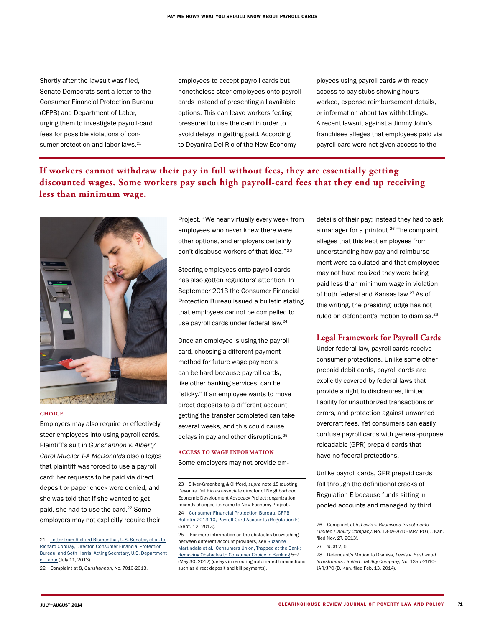Shortly after the lawsuit was filed, Senate Democrats sent a letter to the Consumer Financial Protection Bureau (CFPB) and Department of Labor, urging them to investigate payroll-card fees for possible violations of consumer protection and labor laws.<sup>21</sup>

employees to accept payroll cards but nonetheless steer employees onto payroll cards instead of presenting all available options. This can leave workers feeling pressured to use the card in order to avoid delays in getting paid. According to Deyanira Del Rio of the New Economy

ployees using payroll cards with ready access to pay stubs showing hours worked, expense reimbursement details, or information about tax withholdings. A recent lawsuit against a Jimmy John's franchisee alleges that employees paid via payroll card were not given access to the

## **If workers cannot withdraw their pay in full without fees, they are essentially getting discounted wages. Some workers pay such high payroll-card fees that they end up receiving less than minimum wage.**



#### **CHOICE**

Employers may also require or effectively steer employees into using payroll cards. Plaintiff's suit in Gunshannon v. Albert/ Carol Mueller T-A McDonalds also alleges that plaintiff was forced to use a payroll card: her requests to be paid via direct deposit or paper check were denied, and she was told that if she wanted to get paid, she had to use the card.<sup>22</sup> Some employers may not explicitly require their

Project, "We hear virtually every week from employees who never knew there were other options, and employers certainly don't disabuse workers of that idea."<sup>23</sup>

Steering employees onto payroll cards has also gotten regulators' attention. In September 2013 the Consumer Financial Protection Bureau issued a bulletin stating that employees cannot be compelled to use payroll cards under federal law.<sup>24</sup>

Once an employee is using the payroll card, choosing a different payment method for future wage payments can be hard because payroll cards, like other banking services, can be "sticky." If an employee wants to move direct deposits to a different account, getting the transfer completed can take several weeks, and this could cause delays in pay and other disruptions.<sup>25</sup>

#### **ACCESS TO WAGE INFORMATION**

Some employers may not provide em-

23 Silver-Greenberg & Clifford, supra note 18 (quoting Deyanira Del Rio as associate director of Neighborhood Economic Development Advocacy Project; organization recently changed its name to New Economy Project). 24 [Consumer Financial Protection Bureau, CFPB](http://files.consumerfinance.gov/f/201309_cfpb_payroll-card-bulletin.pdf)  [Bulletin 2013-10, Payroll Card Accounts \(Regulation E\)](http://files.consumerfinance.gov/f/201309_cfpb_payroll-card-bulletin.pdf) (Sept. 12, 2013).

25 For more information on the obstacles to switching between different account providers, see [Suzanne](http://defendyourdollars.org/wordpress/wp-content/uploads/2012/05/TrappedAtTheBank-Complete.pdf)  [Martindale et al., Consumers Union, Trapped at the Bank:](http://defendyourdollars.org/wordpress/wp-content/uploads/2012/05/TrappedAtTheBank-Complete.pdf)  [Removing Obstacles to Consumer Choice in Banking](http://defendyourdollars.org/wordpress/wp-content/uploads/2012/05/TrappedAtTheBank-Complete.pdf) 5–7 (May 30, 2012) (delays in rerouting automated transactions such as direct deposit and bill payments).

details of their pay; instead they had to ask a manager for a printout.<sup>26</sup> The complaint alleges that this kept employees from understanding how pay and reimbursement were calculated and that employees may not have realized they were being paid less than minimum wage in violation of both federal and Kansas law.<sup>27</sup> As of this writing, the presiding judge has not ruled on defendant's motion to dismiss.<sup>28</sup>

#### **Legal Framework for Payroll Cards**

Under federal law, payroll cards receive consumer protections. Unlike some other prepaid debit cards, payroll cards are explicitly covered by federal laws that provide a right to disclosures, limited liability for unauthorized transactions or errors, and protection against unwanted overdraft fees. Yet consumers can easily confuse payroll cards with general-purpose reloadable (GPR) prepaid cards that have no federal protections.

Unlike payroll cards, GPR prepaid cards fall through the definitional cracks of Regulation E because funds sitting in pooled accounts and managed by third

<sup>21</sup> Letter from Richard Blumenthal, U.S. Senator, et al. to [Richard Cordray, Director, Consumer Financial Protection](http://www.blumenthal.senate.gov/newsroom/press/release/blumenthal-urges-cfpb-dol-to-protect-workers-paid-with-predatory-payroll-cards)  [Bureau, and Seth Harris, Acting Secretary, U.S. Department](http://www.blumenthal.senate.gov/newsroom/press/release/blumenthal-urges-cfpb-dol-to-protect-workers-paid-with-predatory-payroll-cards)  [of Labor](http://www.blumenthal.senate.gov/newsroom/press/release/blumenthal-urges-cfpb-dol-to-protect-workers-paid-with-predatory-payroll-cards) (July 11, 2013).

<sup>22</sup> Complaint at 8, Gunshannon, No. 7010-2013.

<sup>26</sup> Complaint at 5, Lewis v. Bushwood Investments Limited Liability Company, No. 13-cv-2610-JAR/JPO (D. Kan. filed Nov. 27, 2013).

<sup>27</sup> Id. at 2, 5.

<sup>28</sup> Defendant's Motion to Dismiss, Lewis v. Bushwood Investments Limited Liability Company, No. 13-cv-2610- JAR/JPO (D. Kan. filed Feb. 13, 2014).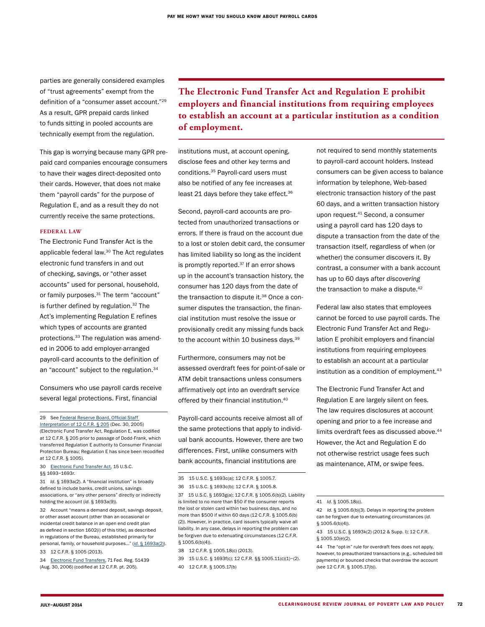parties are generally considered examples of "trust agreements" exempt from the definition of a "consumer asset account."29 As a result, GPR prepaid cards linked to funds sitting in pooled accounts are technically exempt from the regulation.

This gap is worrying because many GPR prepaid card companies encourage consumers to have their wages direct-deposited onto their cards. However, that does not make them "payroll cards" for the purpose of Regulation E, and as a result they do not currently receive the same protections.

#### **FEDER AL LAW**

The Electronic Fund Transfer Act is the applicable federal law.30 The Act regulates electronic fund transfers in and out of checking, savings, or "other asset accounts" used for personal, household, or family purposes.<sup>31</sup> The term "account" is further defined by regulation.<sup>32</sup> The Act's implementing Regulation E refines which types of accounts are granted protections.33 The regulation was amended in 2006 to add employer-arranged payroll-card accounts to the definition of an "account" subject to the regulation.<sup>34</sup>

Consumers who use payroll cards receive several legal protections. First, financial

29 See Federal Reserve Board, Official Staff [Interpretation of 12 C.F.R. § 205](http://www.federalreserve.gov/boarddocs/press/bcreg/2005/20051230/attachment2.pdf) (Dec. 30, 2005) (Electronic Fund Transfer Act, Regulation E, was codified at 12 C.F.R. § 205 prior to passage of Dodd-Frank, which transferred Regulation E authority to Consumer Financial Protection Bureau; Regulation E has since been recodified at 12 C.F.R. § 1005).

30 [Electronic Fund Transfer Act,](http://www.law.cornell.edu/uscode/text/15/chapter-41/subchapter-VI) 15 U.S.C.

§§ 1693–1693r.

31 Id. § 1693a(2). A "financial institution" is broadly defined to include banks, credit unions, savings associations, or "any other persons" directly or indirectly holding the account (id. § 1693a(9)).

32 Account "means a demand deposit, savings deposit, or other asset account (other than an occasional or incidental credit balance in an open end credit plan as defined in section 1602(i) of this title), as described in regulations of the Bureau, established primarily for personal, family, or household purposes…" (id[. § 1693a\(2\)\)](http://www.law.cornell.edu/uscode/text/15/1693a).

33 12 C.F.R. § 1005 (2013).

34 [Electronic Fund Transfers,](http://www.gpo.gov/fdsys/pkg/FR-2006-08-30/pdf/06-7223.pdf) 71 Fed. Reg. 51439 (Aug. 30, 2006) (codified at 12 C.F.R. pt. 205).

**The Electronic Fund Transfer Act and Regulation E prohibit employers and financial institutions from requiring employees to establish an account at a particular institution as a condition of employment.**

institutions must, at account opening, disclose fees and other key terms and conditions.35 Payroll-card users must also be notified of any fee increases at least 21 days before they take effect.<sup>36</sup>

Second, payroll-card accounts are protected from unauthorized transactions or errors. If there is fraud on the account due to a lost or stolen debit card, the consumer has limited liability so long as the incident is promptly reported. $37$  If an error shows up in the account's transaction history, the consumer has 120 days from the date of the transaction to dispute it.<sup>38</sup> Once a consumer disputes the transaction, the financial institution must resolve the issue or provisionally credit any missing funds back to the account within 10 business days.<sup>39</sup>

Furthermore, consumers may not be assessed overdraft fees for point-of-sale or ATM debit transactions unless consumers affirmatively opt into an overdraft service offered by their financial institution.40

Payroll-card accounts receive almost all of the same protections that apply to individual bank accounts. However, there are two differences. First, unlike consumers with bank accounts, financial institutions are

36 15 U.S.C. § 1693c(b); 12 C.F.R. § 1005.8.

37 15 U.S.C. § 1693g(a); 12 C.F.R. § 1005.6(b)(2). Liability is limited to no more than \$50 if the consumer reports the lost or stolen card within two business days, and no more than \$500 if within 60 days (12 C.F.R. § 1005.6(b) (2)). However, in practice, card issuers typically waive all liability. In any case, delays in reporting the problem can be forgiven due to extenuating circumstances (12 C.F.R. § 1005.6(b)(4)).

- 39 15 U.S.C. § 1693f(c); 12 C.F.R. §§ 1005.11(c)(1)–(2).
- 40 12 C.F.R. § 1005.17(b)

not required to send monthly statements to payroll-card account holders. Instead consumers can be given access to balance information by telephone, Web-based electronic transaction history of the past 60 days, and a written transaction history upon request.41 Second, a consumer using a payroll card has 120 days to dispute a transaction from the date of the transaction itself, regardless of when (or whether) the consumer discovers it. By contrast, a consumer with a bank account has up to 60 days after discovering the transaction to make a dispute.<sup>42</sup>

Federal law also states that employees cannot be forced to use payroll cards. The Electronic Fund Transfer Act and Regulation E prohibit employers and financial institutions from requiring employees to establish an account at a particular institution as a condition of employment.<sup>43</sup>

The Electronic Fund Transfer Act and Regulation E are largely silent on fees. The law requires disclosures at account opening and prior to a fee increase and limits overdraft fees as discussed above.<sup>44</sup> However, the Act and Regulation E do not otherwise restrict usage fees such as maintenance, ATM, or swipe fees.

<sup>35</sup> 15 U.S.C. § 1693c(a); 12 C.F.R. § 1005.7.

<sup>38</sup> 12 C.F.R. § 1005.18(c) (2013).

<sup>41</sup> Id. § 1005.18(c).

<sup>42</sup> Id. § 1005.6(b)(3). Delays in reporting the problem can be forgiven due to extenuating circumstances (id. § 1005.6(b)(4)).

<sup>43</sup> 15 U.S.C. § 1693k(2) (2012 & Supp. I); 12 C.F.R. § 1005.10(e)(2).

<sup>44</sup> The "opt-in" rule for overdraft fees does not apply, however, to preauthorized transactions (e.g., scheduled bill payments) or bounced checks that overdraw the account (see 12 C.F.R. § 1005.17(b)).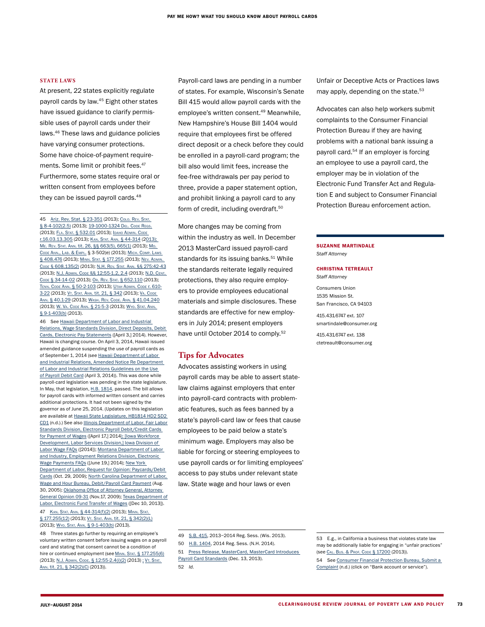#### **STATE LAWS**

At present, 22 states explicitly regulate payroll cards by law.45 Eight other states have issued guidance to clarify permissible uses of payroll cards under their laws.46 These laws and guidance policies have varying consumer protections. Some have choice-of-payment requirements. Some limit or prohibit fees.<sup>47</sup> Furthermore, some states require oral or written consent from employees before they can be issued payroll cards.<sup>48</sup>

45 [Ariz. Rev. Stat. § 23-351](http://www.azleg.gov/FormatDocument.asp?inDoc=/ars/23/00351.htm&Title=23&DocType=ARS) (2013); [Colo. Rev. Stat.](http://www.colorado.gov/cs/Satellite?blobcol=urldata&blobheader=application/pdf&blobkey=id&blobtable=MungoBlobs&blobwhere=1251691080797&ssbinary=true) [§ 8-4-102\(2.5\)](http://www.colorado.gov/cs/Satellite?blobcol=urldata&blobheader=application/pdf&blobkey=id&blobtable=MungoBlobs&blobwhere=1251691080797&ssbinary=true) (2013); [19-1000-1324](http://regulations.delaware.gov/AdminCode/title19/1000/1300/1320/1324.shtml) DEL. CODE REGS. (2013); FLA. STAT. [§ 532.01](http://www.flsenate.gov/Laws/Statutes/2012/532.01) (2013); ІDАНО ADMIN. СОDЕ [r.16.03.13.305](http://adminrules.idaho.gov/rules/current/16/0313.pdf) (2013); [Kan. Stat. Ann.](http://kansasstatutes.lesterama.org/Chapter_44/Article_3/44-314.html) § 44-314 (2013); ME. REV. STAT. ANN. [tit. 26, §§ 663\(5\), 665\(1\)](http://www.mainelegislature.org/legis/statutes/26/title26sec663.html) (2013); MD. Code [Ann., Lab. & Empl.](https://hrnt.jhu.edu/policies/Posters/MD/wage payment.pdf) § 3-502(e) (2013); [Mich. Comp. Laws](http://www.legislature.mi.gov/(S(khekce45e4upp2mqgyzucg55))/mileg.aspx?page=getObject&objectName=mcl-408-476) [§ 408.476](http://www.legislature.mi.gov/(S(khekce45e4upp2mqgyzucg55))/mileg.aspx?page=getObject&objectName=mcl-408-476) (2013); Minn. Stat. [§ 177.255](https://www.revisor.mn.gov/statutes/?id=177.255) (2013); [Nev. Admin.](http://www.leg.state.nv.us/nac/NAC-608.html#NAC608Sec135)  Code [§ 608.135\(2\)](http://www.leg.state.nv.us/nac/NAC-608.html#NAC608Sec135) (2013); [N.H. Rev. Stat. Ann.](http://www.gencourt.state.nh.us/rsa/html/XXIII/275/275-42.htm) §§ 275:42-43 (2013); N.J. Admin. Code [§§ 12:55-1.2, 2.4](http://lwd.dol.state.nj.us/labor/wagehour/lawregs/selected_nj_state_labor_law.html#5512) (2013); [N.D. Cent.](http://www.legis.nd.gov/cencode/t34c14.pdf?20140623125441)  Code [§ 34-14-02](http://www.legis.nd.gov/cencode/t34c14.pdf?20140623125441) (2013); [Or. Rev. Stat.](http://www.oregonlaws.org/ors/652.110) § 652.110 (2013); Tenn. Code Ann. [§ 50-2-103](http://tnaflcio.org/wp-content/uploads/2013/11/TCA-50-2-103.pdf) (2013); Utah [Admin. Code](http://www.rules.utah.gov/publicat/code/r610/r610-003.htm#T21) r. 610- [3-22](http://www.rules.utah.gov/publicat/code/r610/r610-003.htm#T21) (2013); VT. STAT. ANN. [tit. 21, § 342](http://www.leg.state.vt.us/statutes/fullsection.cfm?Title=21&Chapter=005&Section=00342) (2013); VA. CODE Ann. [§ 40.1-29](http://leg1.state.va.us/cgi-bin/legp504.exe?000+cod+40.1-29) (2013); WASH. REV. CODE. Ann. § 41.04.240 (2013); [W. Va. Code](http://www.legis.state.wv.us/wvcode/ChapterEntire.cfm?chap=21&art=5§ion=3) Ann. § 21-5-3 (2013); [Wyo. Stat. Ann.](http://legisweb.state.wy.us/statutes/statutes.aspx?file=titles/Title9/Title9.htm) [§ 9-1-403\(b\)](http://legisweb.state.wy.us/statutes/statutes.aspx?file=titles/Title9/Title9.htm) (2013).

46 See [Hawaii Department of Labor and Industrial](http://labor.hawaii.gov/wsd/direct-deposits-debit-cards-electronic-pay-statements/)  [Relations, Wage Standards Division, Direct Deposits, Debit](http://labor.hawaii.gov/wsd/direct-deposits-debit-cards-electronic-pay-statements/)  [Cards, Electronic Pay Statements](http://labor.hawaii.gov/wsd/direct-deposits-debit-cards-electronic-pay-statements/) ([April 3,] 2014). However, Hawaii is changing course. On April 3, 2014, Hawaii issued amended guidance suspending the use of payroll cards as of September 1, 2014 (see Hawaii Department of Labor [and Industrial Relations, Amended Notice Re Department](http://labor.hawaii.gov/wsd/files/2014/03/Amended-Notice-of-Suspension-re-Payroll-Debit-Cards-eff-9-1-14.pdf)  [of Labor and Industrial Relations Guidelines on the Use](http://labor.hawaii.gov/wsd/files/2014/03/Amended-Notice-of-Suspension-re-Payroll-Debit-Cards-eff-9-1-14.pdf)  [of Payroll Debit Card](http://labor.hawaii.gov/wsd/files/2014/03/Amended-Notice-of-Suspension-re-Payroll-Debit-Cards-eff-9-1-14.pdf) (April 3, 2014)). This was done while payroll-card legislation was pending in the state legislature. In May, that legislation, H.B. [1814,](http://www.capitol.hawaii.gov/measure_indiv.aspx?billtype=HB&billnumber=1814) passed. The bill allows for payroll cards with informed written consent and carries additional protections. It had not been signed by the governor as of June 25, 2014. (Updates on this legislation are available at [Hawaii State Legislature, HB1814 HD2 SD2](http://www.capitol.hawaii.gov/measure_indiv.aspx?billtype=HB&billnumber=1814)  [CD1](http://www.capitol.hawaii.gov/measure_indiv.aspx?billtype=HB&billnumber=1814) (n.d.).) See also [Illinois Department of Labor, Fair Labor](http://www.illinois.gov/idol/laws-rules/fls/pages/debit-credit-cards.aspx)  [Standards Division, Electronic Payroll Debit/Credit Cards](http://www.illinois.gov/idol/laws-rules/fls/pages/debit-credit-cards.aspx)  [for Payment of Wages](http://www.illinois.gov/idol/laws-rules/fls/pages/debit-credit-cards.aspx) ([April 17,] 2014[\);](https://www.ftccomplaintassistant.gov/#crnt&panel1-1) [\[Iowa Workforce](http://www.iowaworkforce.org/labor/wagefaqs.pdf)  [Development, Labor Services Division,\] Iowa Division of](http://www.iowaworkforce.org/labor/wagefaqs.pdf)  [Labor Wage FAQs](http://www.iowaworkforce.org/labor/wagefaqs.pdf) ([2014]); [Montana Department of Labor](http://erd.dli.mt.gov/labor-standards/wage-and-hour-payment-act/electronic-wage-payment-faqs)  [and Industry, Employment Relations Division, Electronic](http://erd.dli.mt.gov/labor-standards/wage-and-hour-payment-act/electronic-wage-payment-faqs)  [Wage Payments FAQs](http://erd.dli.mt.gov/labor-standards/wage-and-hour-payment-act/electronic-wage-payment-faqs) ([June 19,] 2014); [New York](http://www.labor.ny.gov/sites/legal/counsel/pdf/Direct Deposit of Wages/Payroll cards Letter 10-29-2009.pdf)  [Department of Labor, Request for Opinion: Paycards/Debit](http://www.labor.ny.gov/sites/legal/counsel/pdf/Direct Deposit of Wages/Payroll cards Letter 10-29-2009.pdf)  [Cards](http://www.labor.ny.gov/sites/legal/counsel/pdf/Direct Deposit of Wages/Payroll cards Letter 10-29-2009.pdf) (Oct. 29, 2009); [North Carolina Department of Labor,](http://www.nclabor.com/wh/fact sheets/debit_payroll.htm)  [Wage and Hour Bureau, Debit/Payroll Card Payment](http://www.nclabor.com/wh/fact sheets/debit_payroll.htm) (Aug. 30, 2005); [Oklahoma Office of Attorney General, Attorney](http://www.ok.gov/odol/documents/WHAGOpinion09-31.pdf)  [General Opinion 09-31](http://www.ok.gov/odol/documents/WHAGOpinion09-31.pdf) (Nov.17, 2009); [Texas Department of](http://www.twc.state.tx.us/news/efte/electronic_fund_transfer_wages.html)  [Labor, Electronic Fund Transfer of Wages](http://www.twc.state.tx.us/news/efte/electronic_fund_transfer_wages.html) ([Dec 10, 2013]). 47 KAN. STAT. ANN. [§ 44-314\(f\)\(2\)](http://kansasstatutes.lesterama.org/Chapter_44/Article_3/44-314.html) (2013); MINN. STAT. [§ 177.255\(12\)](https://www.revisor.mn.gov/statutes/?id=177.255) (2013); VT. STAT. ANN. [tit. 21, § 342\(2\)\(L\)](http://www.leg.state.vt.us/statutes/fullsection.cfm?Title=21&Chapter=005&Section=00342) (2013); [Wyo. Stat. Ann.](http://legisweb.state.wy.us/statutes/statutes.aspx?file=titles/Title9/Title9.htm) § 9-1-403(b) (2013).

48 Three states go further by requiring an employee's voluntary written consent before issuing wages on a payroll card and stating that consent cannot be a condition of hire or continued employment (see MINN. STAT. [§ 177.255\(6\)](https://www.revisor.mn.gov/statutes/?id=177.255) (2013); N.J. Admin. Code. [§ 12:55-2.4\(i\)\(2\)](http://lwd.dol.state.nj.us/labor/wagehour/lawregs/selected_nj_state_labor_law.html#5524;) (2013) [;](file:///**Freelance/CR_July-Aug/../AppData/Local/Temp/ND/;) [Vt. Stat.](http://www.leg.state.vt.us/statutes/fullsection.cfm?Title=21&Chapter=005&Section=00342)  Ann. [tit. 21, § 342\(2\)\(C\)](http://www.leg.state.vt.us/statutes/fullsection.cfm?Title=21&Chapter=005&Section=00342) (2013)).

Payroll-card laws are pending in a number of states. For example, Wisconsin's Senate Bill 415 would allow payroll cards with the employee's written consent.49 Meanwhile, New Hampshire's House Bill 1404 would require that employees first be offered direct deposit or a check before they could be enrolled in a payroll-card program; the bill also would limit fees, increase the fee-free withdrawals per pay period to three, provide a paper statement option, and prohibit linking a payroll card to any form of credit, including overdraft.<sup>50</sup>

More changes may be coming from within the industry as well. In December 2013 MasterCard issued payroll-card standards for its issuing banks.<sup>51</sup> While the standards reiterate legally required protections, they also require employers to provide employees educational materials and simple disclosures. These standards are effective for new employers in July 2014; present employers have until October 2014 to comply.<sup>52</sup>

#### **Tips for Advocates**

Advocates assisting workers in using payroll cards may be able to assert statelaw claims against employers that enter into payroll-card contracts with problematic features, such as fees banned by a state's payroll-card law or fees that cause employees to be paid below a state's minimum wage. Employers may also be liable for forcing or steering employees to use payroll cards or for limiting employees' access to pay stubs under relevant state law. State wage and hour laws or even

Unfair or Deceptive Acts or Practices laws may apply, depending on the state.<sup>53</sup>

Advocates can also help workers submit complaints to the Consumer Financial Protection Bureau if they are having problems with a national bank issuing a payroll card.<sup>54</sup> If an employer is forcing an employee to use a payroll card, the employer may be in violation of the Electronic Fund Transfer Act and Regulation E and subject to Consumer Financial Protection Bureau enforcement action.

#### SUZANNE MARTINDALE Staff Attorney

#### CHRISTINA TETREAULT Staff Attorney

Consumers Union 1535 Mission St. San Francisco, CA 94103 415.431.6747 ext. 107 smartindale@consumer.org 415.431.6747 ext. 138 ctetreault@consumer.org

52 Id.

51 [Press Release, MasterCard, MasterCard Introduces](http://newsroom.mastercard.com/press-releases/mastercard-introduces-payroll-card-standards/)  [Payroll Card Standards](http://newsroom.mastercard.com/press-releases/mastercard-introduces-payroll-card-standards/) (Dec. 13, 2013).

<sup>49</sup> [S.B. 415,](http://legiscan.com/WI/text/SB415/2013) 2013–2014 Reg. Sess. (Wis. 2013).

<sup>50</sup> [H.B. 1404](http://legiscan.com/NH/text/HB1404/2014), 2014 Reg. Sess. (N.H. 2014).

<sup>53</sup> E.g., in California a business that violates state law may be additionally liable for engaging in "unfair practices" (see [Cal. Bus. & Prof. Code](http://www.leginfo.ca.gov/cgi-bin/displaycode?section=bpc&group=17001-18000&file=17200-17210) § 17200 (2013)).

<sup>54</sup> See [Consumer Financial Protection Bureau, Submit a](http://www.consumerfinance.gov/complaint/)  [Complaint](http://www.consumerfinance.gov/complaint/) (n.d.) (click on "Bank account or service").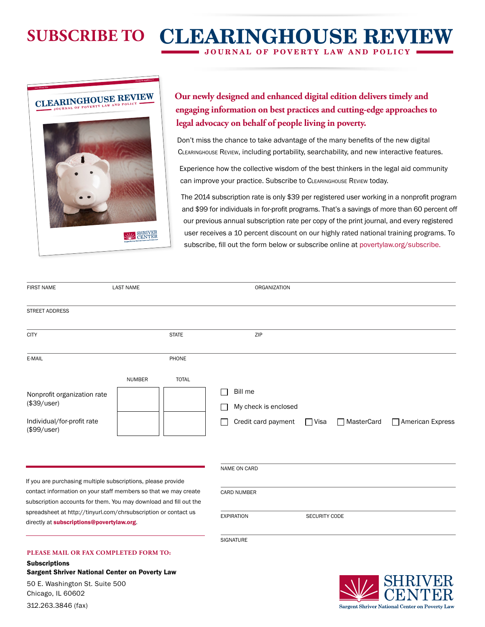# **JOURNAL OF POVERTY LAW AND POLICY SUBSCRIBE TO CLEARINGHOUSE REVIEW**

# **CLEARINGHOUSE JOURNAL OF POVERTY LAW AND POLICY REVIEW**

JULY–AUGUST 2014 VOLUME 48, NUMBERS 3–4



## **Our newly designed and enhanced digital edition delivers timely and engaging information on best practices and cutting-edge approaches to legal advocacy on behalf of people living in poverty.**

Don't miss the chance to take advantage of the many benefits of the new digital Clearinghouse Review, including portability, searchability, and new interactive features.

Experience how the collective wisdom of the best thinkers in the legal aid community can improve your practice. Subscribe to CLEARINGHOUSE REVIEW today.

The 2014 subscription rate is only \$39 per registered user working in a nonprofit program and \$99 for individuals in for-profit programs. That's a savings of more than 60 percent off our previous annual subscription rate per copy of the print journal, and every registered user receives a 10 percent discount on our highly rated national training programs. To subscribe, fill out the form below or subscribe online at [povertylaw.org/subscribe.](http://povertylaw.org/subscribe)

| <b>FIRST NAME</b>                                                                                                                                                                                    | <b>LAST NAME</b> |                    | ORGANIZATION                                                           |             |              |                  |
|------------------------------------------------------------------------------------------------------------------------------------------------------------------------------------------------------|------------------|--------------------|------------------------------------------------------------------------|-------------|--------------|------------------|
| <b>STREET ADDRESS</b>                                                                                                                                                                                |                  |                    |                                                                        |             |              |                  |
| <b>CITY</b>                                                                                                                                                                                          |                  | <b>STATE</b>       | ZIP                                                                    |             |              |                  |
| E-MAIL                                                                                                                                                                                               |                  | PHONE              |                                                                        |             |              |                  |
| Nonprofit organization rate<br>(\$39/user)<br>Individual/for-profit rate<br>(\$99/user)                                                                                                              | <b>NUMBER</b>    | <b>TOTAL</b>       | Bill me<br>My check is enclosed<br>Credit card payment<br>NAME ON CARD | <b>Nisa</b> | □ MasterCard | American Express |
| If you are purchasing multiple subscriptions, please provide<br>contact information on your staff members so that we may create<br>subscription accounts for them. You may download and fill out the |                  | <b>CARD NUMBER</b> |                                                                        |             |              |                  |
| spreadsheet at http://tinyurl.com/chrsubscription or contact us<br>directly at subscriptions@povertylaw.org.                                                                                         |                  | <b>EXPIRATION</b>  | <b>SECURITY CODE</b>                                                   |             |              |                  |
| PLEASE MAIL OR FAX COMPLETED FORM TO:                                                                                                                                                                |                  |                    | <b>SIGNATURE</b>                                                       |             |              |                  |

**Subscriptions** Sargent Shriver National Center on Poverty Law 50 E. Washington St. Suite 500 Chicago, IL 60602



312.263.3846 (fax)